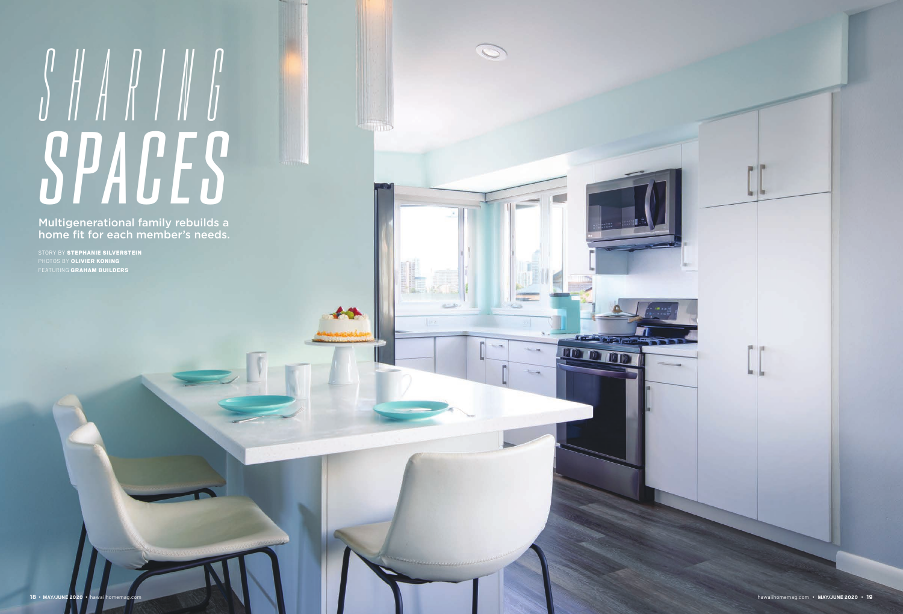## *SHARING SPACES*

STORY BY STEPHANIE SILVERSTEIN PHOTOS BY OLIVIER KONING FEATURING GRAHAM BUILDERS



Multigenerational family rebuilds a home fit for each member's needs.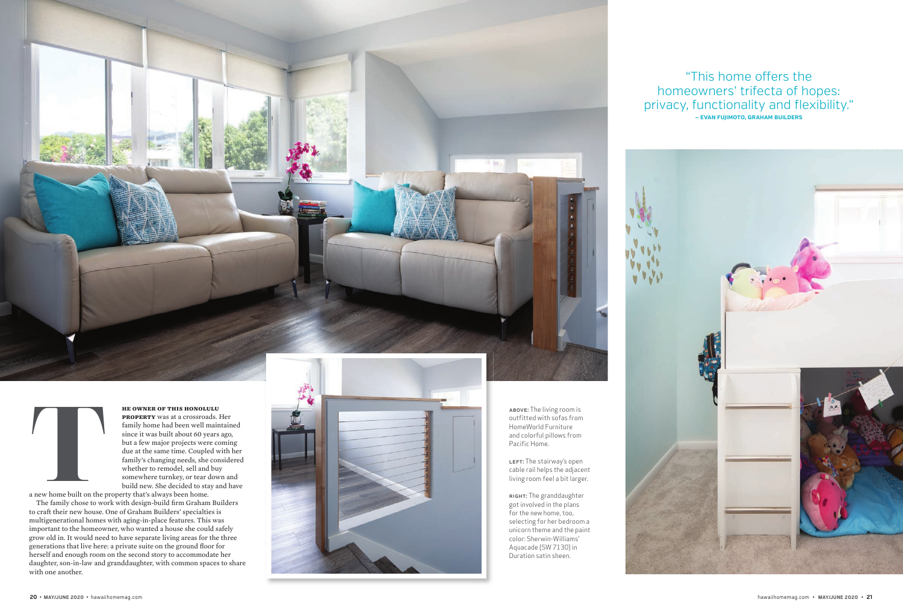LEFT: The stairway's open cable rail helps the adjacent living room feel a bit larger.

RIGHT: The granddaughter got involved in the plans for the new home, too, selecting for her bedroom a unicorn theme and the paint color: Sherwin-Williams' Aquacade (SW 7130) in Duration satin sheen.

## "This home offers the homeowners' trifecta of hopes: privacy, functionality and flexibility." **— EVAN FUJIMOTO, GRAHAM BUILDERS**



**he owner of this honolulu property** was at a crossroads. Her family home had been well maintained since it was built about 60 years ago, but a few major projects were coming due at the same time. Coupled with her family's changing needs, she considered whether to remodel, sell and buy somewhere turnkey, or tear down and build new. She decided to stay and have

a new home built on the property that's always been home. The family chose to work with design-build firm Graham Builders to craft their new house. One of Graham Builders' specialties is multigenerational homes with aging-in-place features. This was important to the homeowner, who wanted a house she could safely grow old in. It would need to have separate living areas for the three generations that live here: a private suite on the ground floor for herself and enough room on the second story to accommodate her daughter, son-in-law and granddaughter, with common spaces to share with one another.



ABOVE: The living room is outfitted with sofas from HomeWorld Furniture and colorful pillows from Pacific Home.



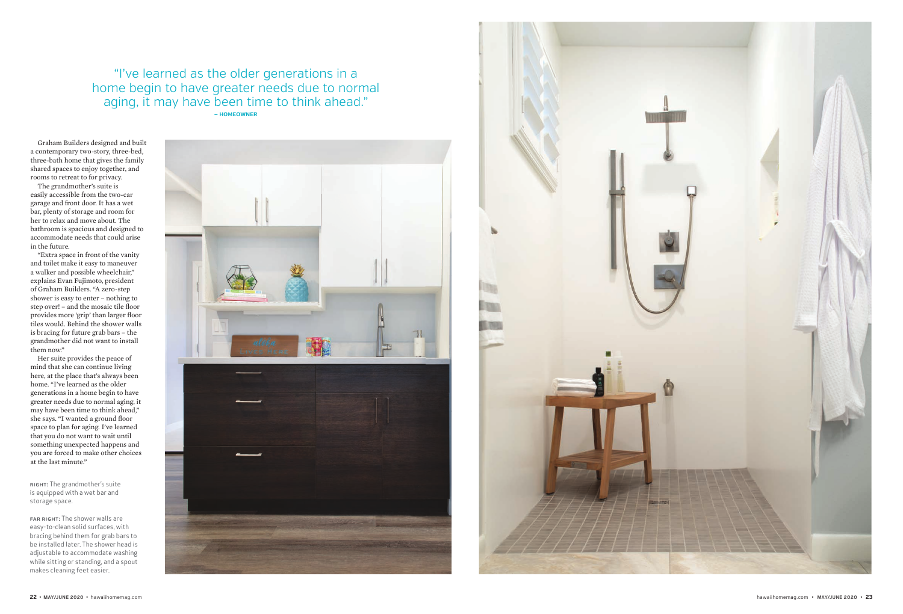Graham Builders designed and built a contemporary two-story, three-bed, three-bath home that gives the family shared spaces to enjoy together, and rooms to retreat to for privacy.

The grandmother's suite is easily accessible from the two-car garage and front door. It has a wet bar, plenty of storage and room for her to relax and move about. The bathroom is spacious and designed to accommodate needs that could arise in the future.

"Extra space in front of the vanity and toilet make it easy to maneuver a walker and possible wheelchair," explains Evan Fujimoto, president of Graham Builders. "A zero-step shower is easy to enter – nothing to step over! - and the mosaic tile floor provides more 'grip' than larger floor tiles would. Behind the shower walls is bracing for future grab bars – the grandmother did not want to install them now."

RIGHT: The grandmother's suite is equipped with a wet bar and storage space.

FAR RIGHT: The shower walls are easy-to-clean solid surfaces, with bracing behind them for grab bars to be installed later. The shower head is adjustable to accommodate washing while sitting or standing, and a spout makes cleaning feet easier.







Her suite provides the peace of mind that she can continue living here, at the place that's always been home. "I've learned as the older generations in a home begin to have greater needs due to normal aging, it may have been time to think ahead," she says. "I wanted a ground floor space to plan for aging. I've learned that you do not want to wait until something unexpected happens and you are forced to make other choices at the last minute."

"I've learned as the older generations in a home begin to have greater needs due to normal aging, it may have been time to think ahead." **— HOMEOWNER**